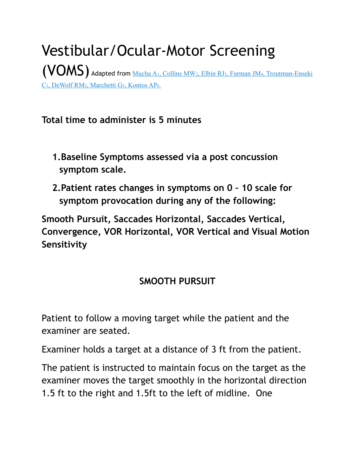Vestibular/Ocular-Motor Screening [\(VOMS\) Adapted from](http://www.ncbi.nlm.nih.gov/pubmed/25106780) Mucha A1, Collins MW2, Elbin RJ3, Furman JM4, Troutman-Enseki C1, DeWolf RM2, Marchetti G5, Kontos AP6.

**Total time to administer is 5 minutes**

- **1.Baseline Symptoms assessed via a post concussion symptom scale.**
- **2.Patient rates changes in symptoms on 0 10 scale for symptom provocation during any of the following:**

**Smooth Pursuit, Saccades Horizontal, Saccades Vertical, Convergence, VOR Horizontal, VOR Vertical and Visual Motion Sensitivity**

### **SMOOTH PURSUIT**

Patient to follow a moving target while the patient and the examiner are seated.

Examiner holds a target at a distance of 3 ft from the patient.

The patient is instructed to maintain focus on the target as the examiner moves the target smoothly in the horizontal direction 1.5 ft to the right and 1.5ft to the left of midline. One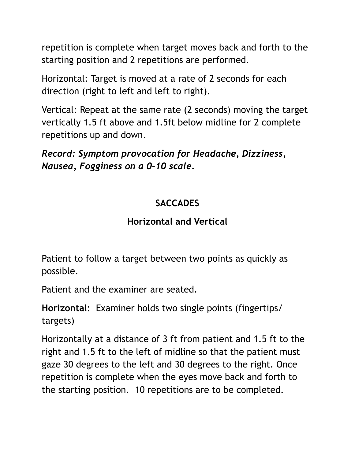repetition is complete when target moves back and forth to the starting position and 2 repetitions are performed.

Horizontal: Target is moved at a rate of 2 seconds for each direction (right to left and left to right).

Vertical: Repeat at the same rate (2 seconds) moving the target vertically 1.5 ft above and 1.5ft below midline for 2 complete repetitions up and down.

*Record: Symptom provocation for Headache, Dizziness, Nausea, Fogginess on a 0-10 scale.*

### **SACCADES**

#### **Horizontal and Vertical**

Patient to follow a target between two points as quickly as possible.

Patient and the examiner are seated.

**Horizontal**: Examiner holds two single points (fingertips/ targets)

Horizontally at a distance of 3 ft from patient and 1.5 ft to the right and 1.5 ft to the left of midline so that the patient must gaze 30 degrees to the left and 30 degrees to the right. Once repetition is complete when the eyes move back and forth to the starting position. 10 repetitions are to be completed.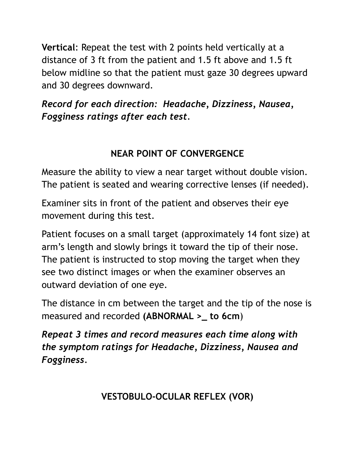**Vertical**: Repeat the test with 2 points held vertically at a distance of 3 ft from the patient and 1.5 ft above and 1.5 ft below midline so that the patient must gaze 30 degrees upward and 30 degrees downward.

*Record for each direction: Headache, Dizziness, Nausea, Fogginess ratings after each test.*

# **NEAR POINT OF CONVERGENCE**

Measure the ability to view a near target without double vision. The patient is seated and wearing corrective lenses (if needed).

Examiner sits in front of the patient and observes their eye movement during this test.

Patient focuses on a small target (approximately 14 font size) at arm's length and slowly brings it toward the tip of their nose. The patient is instructed to stop moving the target when they see two distinct images or when the examiner observes an outward deviation of one eye.

The distance in cm between the target and the tip of the nose is measured and recorded **(ABNORMAL >\_ to 6cm**)

*Repeat 3 times and record measures each time along with the symptom ratings for Headache, Dizziness, Nausea and Fogginess.*

**VESTOBULO-OCULAR REFLEX (VOR)**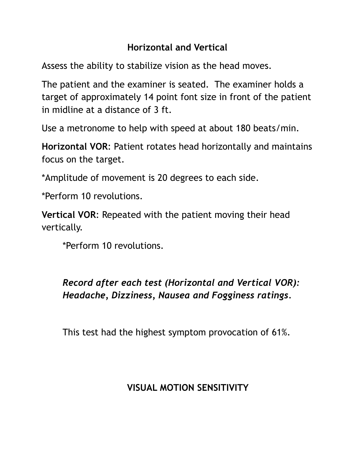### **Horizontal and Vertical**

Assess the ability to stabilize vision as the head moves.

The patient and the examiner is seated. The examiner holds a target of approximately 14 point font size in front of the patient in midline at a distance of 3 ft.

Use a metronome to help with speed at about 180 beats/min.

**Horizontal VOR**: Patient rotates head horizontally and maintains focus on the target.

\*Amplitude of movement is 20 degrees to each side.

\*Perform 10 revolutions.

**Vertical VOR**: Repeated with the patient moving their head vertically.

\*Perform 10 revolutions.

# *Record after each test (Horizontal and Vertical VOR): Headache, Dizziness, Nausea and Fogginess ratings.*

This test had the highest symptom provocation of 61%.

#### **VISUAL MOTION SENSITIVITY**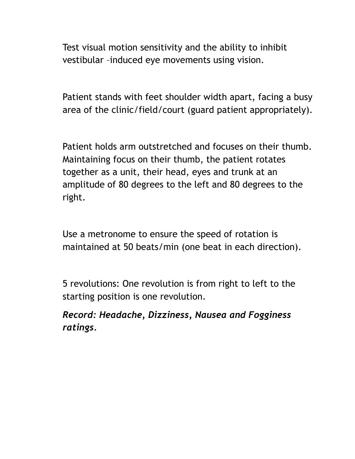Test visual motion sensitivity and the ability to inhibit vestibular –induced eye movements using vision.

Patient stands with feet shoulder width apart, facing a busy area of the clinic/field/court (guard patient appropriately).

Patient holds arm outstretched and focuses on their thumb. Maintaining focus on their thumb, the patient rotates together as a unit, their head, eyes and trunk at an amplitude of 80 degrees to the left and 80 degrees to the right.

Use a metronome to ensure the speed of rotation is maintained at 50 beats/min (one beat in each direction).

5 revolutions: One revolution is from right to left to the starting position is one revolution.

*Record: Headache, Dizziness, Nausea and Fogginess ratings.*